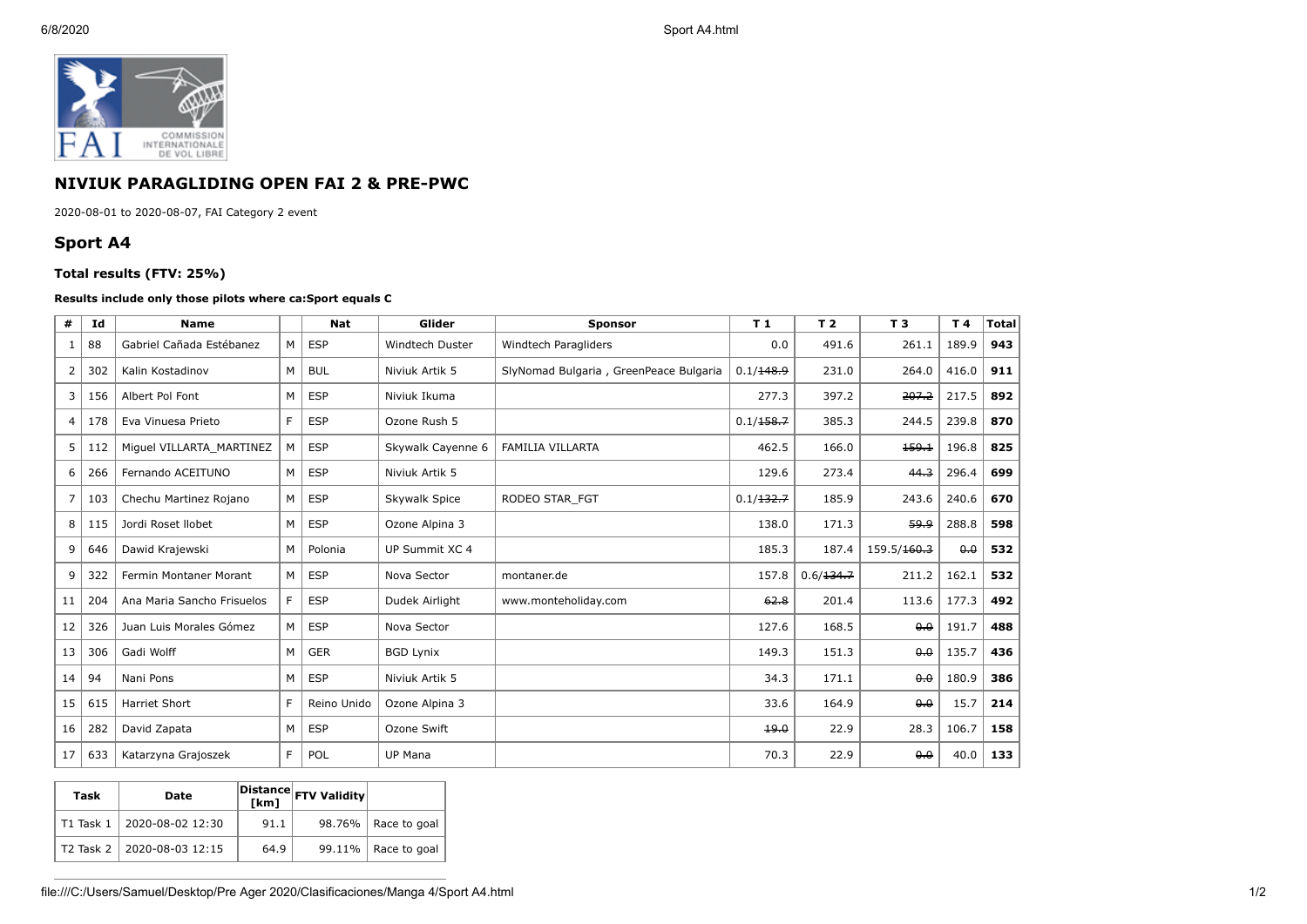

## **NIVIUK PARAGLIDING OPEN FAI 2 & PRE-PWC**

2020-08-01 to 2020-08-07, FAI Category 2 event

## **Sport A4**

## **Total results (FTV: 25%)**

## **Results include only those pilots where ca:Sport equals C**

| #  | Id  | <b>Name</b>                |   | <b>Nat</b>  | Glider                 | <b>Sponsor</b>                         | T <sub>1</sub> | T <sub>2</sub> | T <sub>3</sub> | T4    | <b>Total</b> |
|----|-----|----------------------------|---|-------------|------------------------|----------------------------------------|----------------|----------------|----------------|-------|--------------|
| 1  | 88  | Gabriel Cañada Estébanez   | M | <b>ESP</b>  | <b>Windtech Duster</b> | Windtech Paragliders                   | 0.0            | 491.6          | 261.1          | 189.9 | 943          |
| 2  | 302 | Kalin Kostadinov           | M | <b>BUL</b>  | Niviuk Artik 5         | SlyNomad Bulgaria, GreenPeace Bulgaria | 0.1/148.9      | 231.0          | 264.0          | 416.0 | 911          |
| 3  | 156 | Albert Pol Font            | М | <b>ESP</b>  | Niviuk Ikuma           |                                        | 277.3          | 397.2          | 207.2          | 217.5 | 892          |
| 4  | 178 | Eva Vinuesa Prieto         | F | <b>ESP</b>  | Ozone Rush 5           |                                        | 0.1/158.7      | 385.3          | 244.5          | 239.8 | 870          |
| 5  | 112 | Miguel VILLARTA MARTINEZ   | M | <b>ESP</b>  | Skywalk Cayenne 6      | <b>FAMILIA VILLARTA</b>                | 462.5          | 166.0          | 159.1          | 196.8 | 825          |
| 6  | 266 | Fernando ACEITUNO          | M | <b>ESP</b>  | Niviuk Artik 5         |                                        | 129.6          | 273.4          | 44.3           | 296.4 | 699          |
|    | 103 | Chechu Martinez Rojano     | M | <b>ESP</b>  | Skywalk Spice          | RODEO STAR FGT                         | 0.1/132.7      | 185.9          | 243.6          | 240.6 | 670          |
| 8  | 115 | Jordi Roset Ilobet         | M | <b>ESP</b>  | Ozone Alpina 3         |                                        | 138.0          | 171.3          | 59.9           | 288.8 | 598          |
| 9  | 646 | Dawid Krajewski            | M | Polonia     | UP Summit XC 4         |                                        | 185.3          | 187.4          | 159.5/160.3    | 0.0   | 532          |
| 9  | 322 | Fermin Montaner Morant     | M | <b>ESP</b>  | Nova Sector            | montaner.de                            | 157.8          | 0.6/134.7      | 211.2          | 162.1 | 532          |
| 11 | 204 | Ana Maria Sancho Frisuelos | F | <b>ESP</b>  | Dudek Airlight         | www.monteholiday.com                   | 62.8           | 201.4          | 113.6          | 177.3 | 492          |
| 12 | 326 | Juan Luis Morales Gómez    | M | <b>ESP</b>  | Nova Sector            |                                        | 127.6          | 168.5          | 0.0            | 191.7 | 488          |
| 13 | 306 | Gadi Wolff                 | M | <b>GER</b>  | <b>BGD Lynix</b>       |                                        | 149.3          | 151.3          | $0 - 0$        | 135.7 | 436          |
| 14 | 94  | Nani Pons                  | M | <b>ESP</b>  | Niviuk Artik 5         |                                        | 34.3           | 171.1          | 0.0            | 180.9 | 386          |
| 15 | 615 | <b>Harriet Short</b>       | F | Reino Unido | Ozone Alpina 3         |                                        | 33.6           | 164.9          | $0 - 0$        | 15.7  | 214          |
| 16 | 282 | David Zapata               | M | <b>ESP</b>  | Ozone Swift            |                                        | 19.0           | 22.9           | 28.3           | 106.7 | 158          |
| 17 | 633 | Katarzyna Grajoszek        | F | POL         | <b>UP Mana</b>         |                                        | 70.3           | 22.9           | 0.0            | 40.0  | 133          |

| Task | Date                       | [km] | Distance FTV Validity |                        |
|------|----------------------------|------|-----------------------|------------------------|
|      | T1 Task 1 2020-08-02 12:30 | 91.1 |                       | $98.76\%$ Race to goal |
|      | T2 Task 2 2020-08-03 12:15 | 64.9 |                       | $99.11\%$ Race to goal |